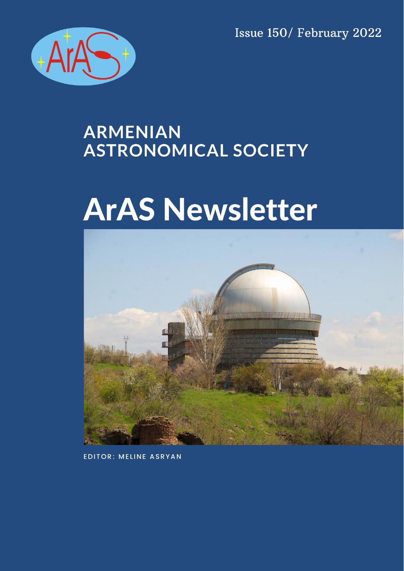Issue 150/ February 2022



# **ARMENIAN ASTRONOMICAL SOCIETY**

# **ArAS Newsletter**



**EDITOR: MELINE ASRYAN**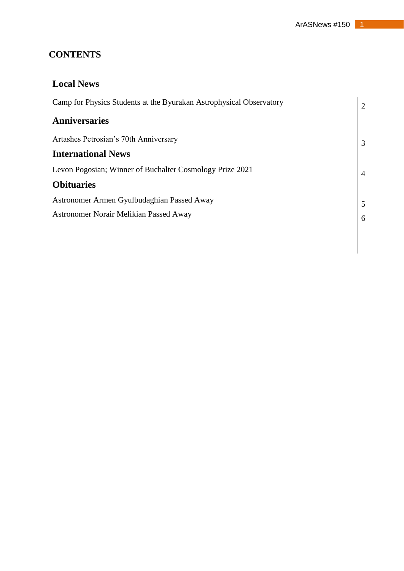# **CONTENTS**

| <b>Local News</b>                                                   |                |
|---------------------------------------------------------------------|----------------|
| Camp for Physics Students at the Byurakan Astrophysical Observatory | $\overline{2}$ |
| <b>Anniversaries</b>                                                |                |
| Artashes Petrosian's 70th Anniversary                               | 3              |
| <b>International News</b>                                           |                |
| Levon Pogosian; Winner of Buchalter Cosmology Prize 2021            | $\overline{4}$ |
| <b>Obituaries</b>                                                   |                |
| Astronomer Armen Gyulbudaghian Passed Away                          |                |
| <b>Astronomer Norair Melikian Passed Away</b>                       | 6              |
|                                                                     |                |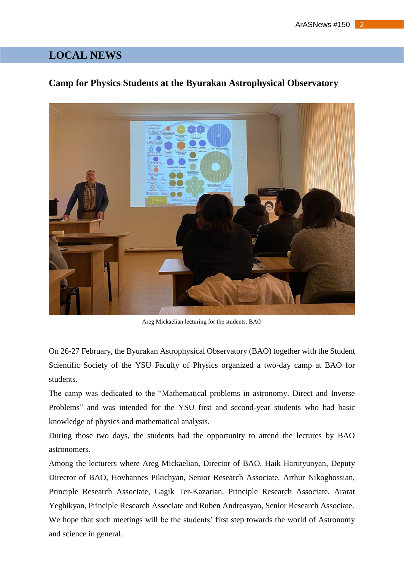# **LOCAL NEWS**

#### **Camp for Physics Students at the Byurakan Astrophysical Observatory**



Areg Mickaelian lecturing for the students. BAO

On 26-27 February, the Byurakan Astrophysical Observatory (BAO) together with the Student Scientific Society of the YSU Faculty of Physics organized a two-day camp at BAO for students.

The camp was dedicated to the "Mathematical problems in astronomy. Direct and Inverse Problems" and was intended for the YSU first and second-year students who had basic knowledge of physics and mathematical analysis.

During those two days, the students had the opportunity to attend the lectures by BAO astronomers.

Among the lecturers where Areg Mickaelian, Director of BAO, Haik Harutyunyan, Deputy Director of BAO, Hovhannes Pikichyan, Senior Research Associate, Arthur Nikoghossian, Principle Research Associate, Gagik Ter-Kazarian, Principle Research Associate, Ararat Yeghikyan, Principle Research Associate and Ruben Andreasyan, Senior Research Associate. We hope that such meetings will be the students' first step towards the world of Astronomy and science in general.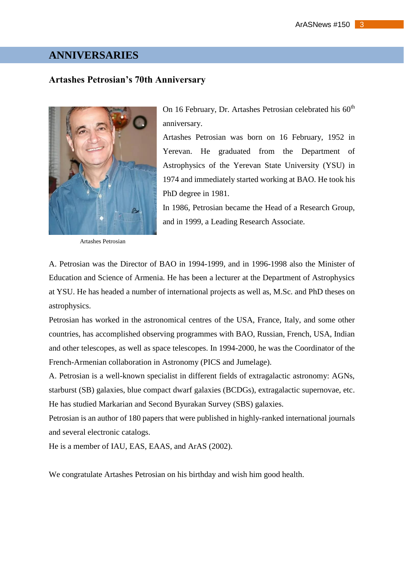## **ANNIVERSARIES**

#### **Artashes Petrosian's 70th Anniversary**



Artashes Petrosian

On 16 February, Dr. Artashes Petrosian celebrated his  $60<sup>th</sup>$ anniversary.

Artashes Petrosian was born on 16 February, 1952 in Yerevan. He graduated from the Department of Astrophysics of the Yerevan State University (YSU) in 1974 and immediately started working at BAO. He took his PhD degree in 1981.

In 1986, Petrosian became the Head of a Research Group, and in 1999, a Leading Research Associate.

A. Petrosian was the Director of BAO in 1994-1999, and in 1996-1998 also the Minister of Education and Science of Armenia. He has been a lecturer at the Department of Astrophysics at YSU. He has headed a number of international projects as well as, M.Sc. and PhD theses on astrophysics.

Petrosian has worked in the astronomical centres of the USA, France, Italy, and some other countries, has accomplished observing programmes with BAO, Russian, French, USA, Indian and other telescopes, as well as space telescopes. In 1994-2000, he was the Coordinator of the French-Armenian collaboration in Astronomy (PICS and Jumelage).

A. Petrosian is a well-known specialist in different fields of extragalactic astronomy: AGNs, starburst (SB) galaxies, blue compact dwarf galaxies (BCDGs), extragalactic supernovae, etc. He has studied Markarian and Second Byurakan Survey (SBS) galaxies.

Petrosian is an author of 180 papers that were published in highly-ranked international journals and several electronic catalogs.

He is a member of IAU, EAS, EAAS, and ArAS (2002).

We congratulate Artashes Petrosian on his birthday and wish him good health.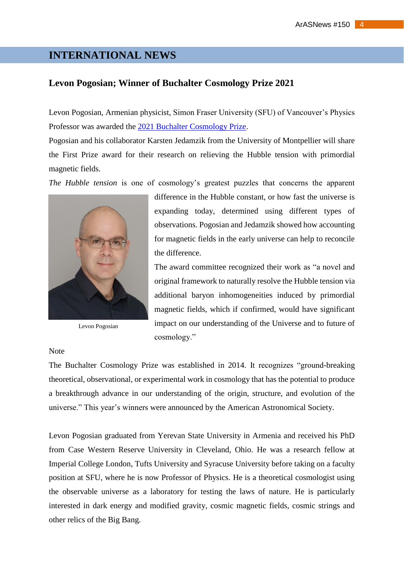# **INTERNATIONAL NEWS**

#### **Levon Pogosian; Winner of Buchalter Cosmology Prize 2021**

Levon Pogosian, Armenian physicist, Simon Fraser University (SFU) of Vancouver's Physics Professor was awarded the [2021 Buchalter Cosmology Prize.](http://www.buchaltercosmologyprize.org/#announcements)

Pogosian and his collaborator Karsten Jedamzik from the University of Montpellier will share the First Prize award for their research on relieving the Hubble tension with primordial magnetic fields.

*The Hubble tension* is one of cosmology's greatest puzzles that concerns the apparent



Levon Pogosian

difference in the Hubble constant, or how fast the universe is expanding today, determined using different types of observations. Pogosian and Jedamzik showed how accounting for magnetic fields in the early universe can help to reconcile the difference.

The award committee recognized their work as "a novel and original framework to naturally resolve the Hubble tension via additional baryon inhomogeneities induced by primordial magnetic fields, which if confirmed, would have significant impact on our understanding of the Universe and to future of cosmology."

#### Note

The Buchalter Cosmology Prize was established in 2014. It recognizes "ground-breaking theoretical, observational, or experimental work in cosmology that has the potential to produce a breakthrough advance in our understanding of the origin, structure, and evolution of the universe." This year's winners were announced by the American Astronomical Society.

Levon Pogosian graduated from Yerevan State University in Armenia and received his PhD from Case Western Reserve University in Cleveland, Ohio. He was a research fellow at Imperial College London, Tufts University and Syracuse University before taking on a faculty position at SFU, where he is now Professor of Physics. He is a theoretical cosmologist using the observable universe as a laboratory for testing the laws of nature. He is particularly interested in dark energy and modified gravity, cosmic magnetic fields, cosmic strings and other relics of the Big Bang.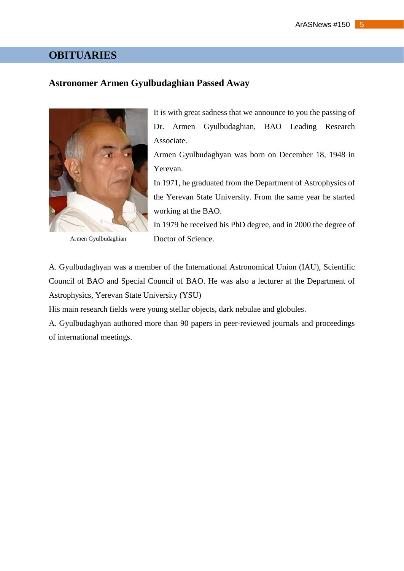### **OBITUARIES**

#### **Astronomer Armen Gyulbudaghian Passed Away**



Armen Gyulbudaghian

It is with great sadness that we announce to you the passing of Dr. Armen Gyulbudaghian, BAO Leading Research Associate.

Armen Gyulbudaghyan was born on December 18, 1948 in Yerevan.

In 1971, he graduated from the Department of Astrophysics of the Yerevan State University. From the same year he started working at the BAO.

In 1979 he received his PhD degree, and in 2000 the degree of Doctor of Science.

A. Gyulbudaghyan was a member of the International Astronomical Union (IAU), Scientific Council of BAO and Special Council of BAO. He was also a lecturer at the Department of Astrophysics, Yerevan State University (YSU)

His main research fields were young stellar objects, dark nebulae and globules.

A. Gyulbudaghyan authored more than 90 papers in peer-reviewed journals and proceedings of international meetings.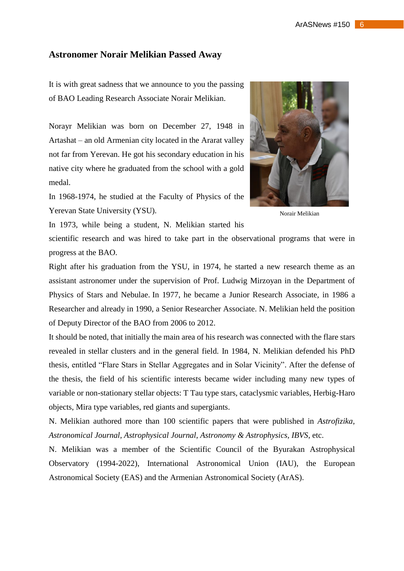#### **Astronomer Norair Melikian Passed Away**

It is with great sadness that we announce to you the passing of BAO Leading Research Associate Norair Melikian.

Norayr Melikian was born on December 27, 1948 in Artashat – an old Armenian city located in the Ararat valley not far from Yerevan. He got his secondary education in his native city where he graduated from the school with a gold medal.

In 1968-1974, he studied at the Faculty of Physics of the Yerevan State University (YSU).



Norair Melikian

In 1973, while being a student, N. Melikian started his

scientific research and was hired to take part in the observational programs that were in progress at the BAO.

Right after his graduation from the YSU, in 1974, he started a new research theme as an assistant astronomer under the supervision of Prof. Ludwig Mirzoyan in the Department of Physics of Stars and Nebulae. In 1977, he became a Junior Research Associate, in 1986 a Researcher and already in 1990, a Senior Researcher Associate. N. Melikian held the position of Deputy Director of the BAO from 2006 to 2012.

It should be noted, that initially the main area of his research was connected with the flare stars revealed in stellar clusters and in the general field. In 1984, N. Melikian defended his PhD thesis, entitled "Flare Stars in Stellar Aggregates and in Solar Vicinity". After the defense of the thesis, the field of his scientific interests became wider including many new types of variable or non-stationary stellar objects: T Tau type stars, cataclysmic variables, Herbig-Haro objects, Mira type variables, red giants and supergiants.

N. Melikian authored more than 100 scientific papers that were published in *Astrofizika*, *Astronomical Journal*, *Astrophysical Journal*, *Astronomy & Astrophysics, IBVS*, etc.

N. Melikian was a member of the Scientific Council of the Byurakan Astrophysical Observatory (1994-2022), International Astronomical Union (IAU), the European Astronomical Society (EAS) and the Armenian Astronomical Society (ArAS).